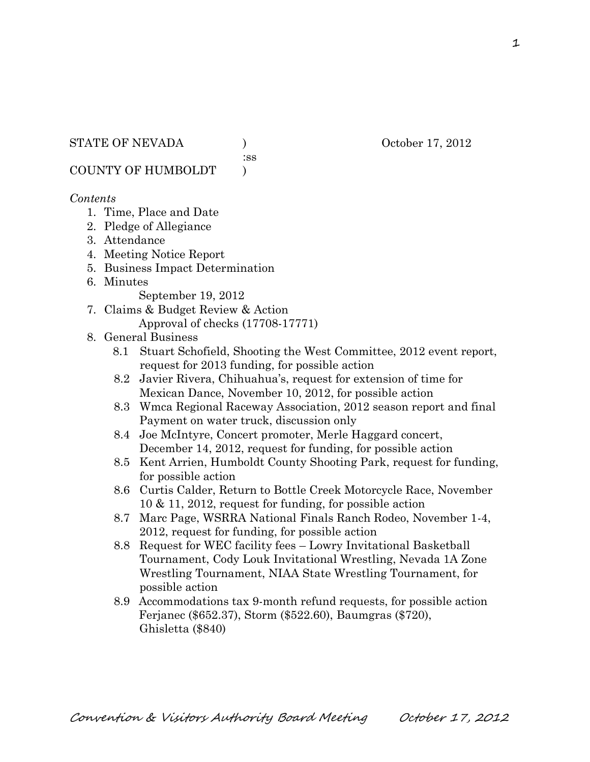:ss

COUNTY OF HUMBOLDT )

## *Contents*

- 1. Time, Place and Date
- 2. Pledge of Allegiance
- 3. Attendance
- 4. Meeting Notice Report
- 5. Business Impact Determination
- 6. Minutes

September 19, 2012

7. Claims & Budget Review & Action Approval of checks (17708-17771)

#### 8. General Business

- 8.1 Stuart Schofield, Shooting the West Committee, 2012 event report, request for 2013 funding, for possible action
- 8.2 Javier Rivera, Chihuahua's, request for extension of time for Mexican Dance, November 10, 2012, for possible action
- 8.3 Wmca Regional Raceway Association, 2012 season report and final Payment on water truck, discussion only
- 8.4 Joe McIntyre, Concert promoter, Merle Haggard concert, December 14, 2012, request for funding, for possible action
- 8.5 Kent Arrien, Humboldt County Shooting Park, request for funding, for possible action
- 8.6 Curtis Calder, Return to Bottle Creek Motorcycle Race, November 10 & 11, 2012, request for funding, for possible action
- 8.7 Marc Page, WSRRA National Finals Ranch Rodeo, November 1-4, 2012, request for funding, for possible action
- 8.8 Request for WEC facility fees Lowry Invitational Basketball Tournament, Cody Louk Invitational Wrestling, Nevada 1A Zone Wrestling Tournament, NIAA State Wrestling Tournament, for possible action
- 8.9 Accommodations tax 9-month refund requests, for possible action Ferjanec (\$652.37), Storm (\$522.60), Baumgras (\$720), Ghisletta (\$840)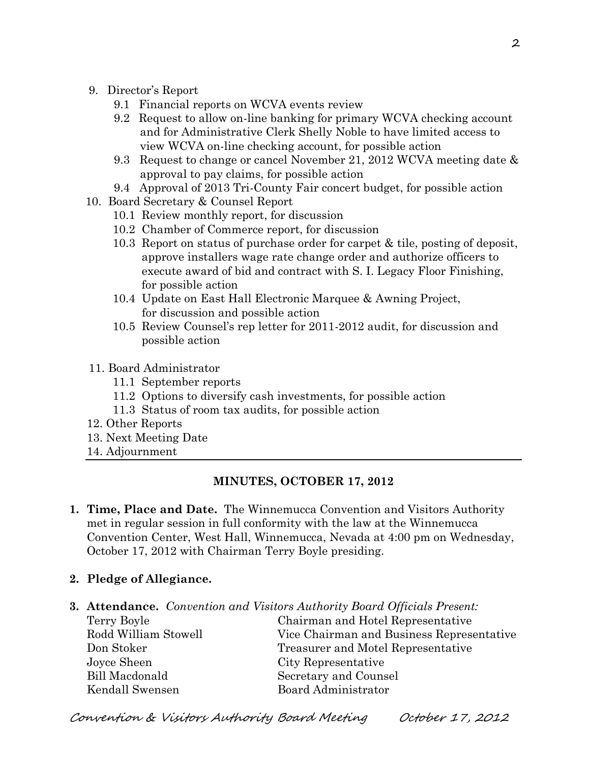- 9. Director's Report
	- 9.1 Financial reports on WCVA events review
	- 9.2 Request to allow on-line banking for primary WCVA checking account and for Administrative Clerk Shelly Noble to have limited access to view WCVA on-line checking account, for possible action
	- 9.3 Request to change or cancel November 21, 2012 WCVA meeting date & approval to pay claims, for possible action
	- 9.4 Approval of 2013 Tri-County Fair concert budget, for possible action
- 10. Board Secretary & Counsel Report
	- 10.1 Review monthly report, for discussion
	- 10.2 Chamber of Commerce report, for discussion
	- 10.3 Report on status of purchase order for carpet & tile, posting of deposit, approve installers wage rate change order and authorize officers to execute award of bid and contract with S. I. Legacy Floor Finishing, for possible action
	- 10.4 Update on East Hall Electronic Marquee & Awning Project, for discussion and possible action
	- 10.5 Review Counsel's rep letter for 2011-2012 audit, for discussion and possible action
- 11. Board Administrator
	- 11.1 September reports
	- 11.2 Options to diversify cash investments, for possible action
	- 11.3 Status of room tax audits, for possible action
- 12. Other Reports
- 13. Next Meeting Date
- 14. Adjournment

#### **MINUTES, OCTOBER 17, 2012**

- **1. Time, Place and Date.** The Winnemucca Convention and Visitors Authority met in regular session in full conformity with the law at the Winnemucca Convention Center, West Hall, Winnemucca, Nevada at 4:00 pm on Wednesday, October 17, 2012 with Chairman Terry Boyle presiding.
- **2. Pledge of Allegiance.**
- **3. Attendance.** *Convention and Visitors Authority Board Officials Present:*

Joyce Sheen City Representative Bill Macdonald Secretary and Counsel

Terry Boyle Chairman and Hotel Representative Rodd William Stowell Vice Chairman and Business Representative Don Stoker Treasurer and Motel Representative Kendall Swensen Board Administrator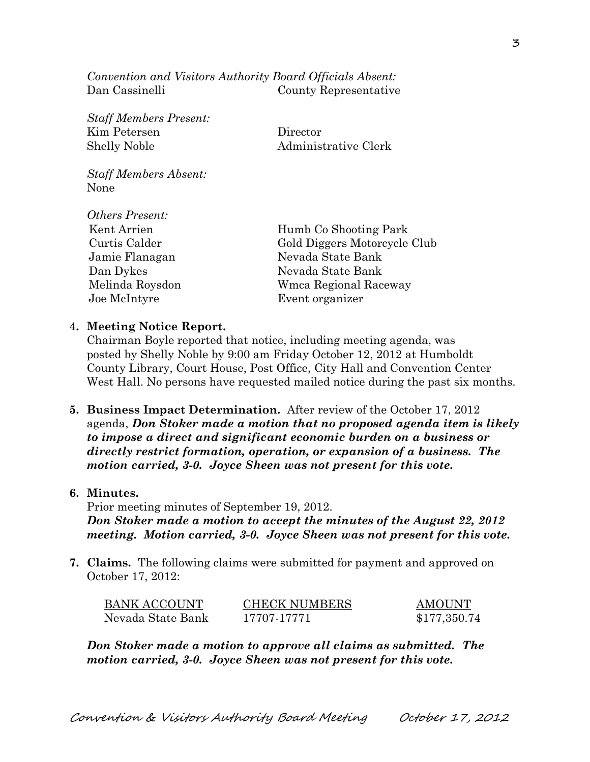*Convention and Visitors Authority Board Officials Absent:* Dan Cassinelli County Representative

*Staff Members Present:* Kim Petersen Director Shelly Noble Administrative Clerk

*Staff Members Absent:* None

 $Q_{ij}$  *p* 

| <i><b>Uthers Present:</b></i> |                              |
|-------------------------------|------------------------------|
| Kent Arrien                   | Humb Co Shooting Park        |
| Curtis Calder                 | Gold Diggers Motorcycle Club |
| Jamie Flanagan                | Nevada State Bank            |
| Dan Dykes                     | Nevada State Bank            |
| Melinda Roysdon               | Wmca Regional Raceway        |
| Joe McIntyre                  | Event organizer              |
|                               |                              |

#### **4. Meeting Notice Report.**

Chairman Boyle reported that notice, including meeting agenda, was posted by Shelly Noble by 9:00 am Friday October 12, 2012 at Humboldt County Library, Court House, Post Office, City Hall and Convention Center West Hall. No persons have requested mailed notice during the past six months.

**5. Business Impact Determination.** After review of the October 17, 2012 agenda, *Don Stoker made a motion that no proposed agenda item is likely to impose a direct and significant economic burden on a business or directly restrict formation, operation, or expansion of a business. The motion carried, 3-0. Joyce Sheen was not present for this vote.*

#### **6. Minutes.**

Prior meeting minutes of September 19, 2012. *Don Stoker made a motion to accept the minutes of the August 22, 2012 meeting. Motion carried, 3-0. Joyce Sheen was not present for this vote.*

**7. Claims.** The following claims were submitted for payment and approved on October 17, 2012:

| <b>BANK ACCOUNT</b> | <b>CHECK NUMBERS</b> | <b>AMOUNT</b> |
|---------------------|----------------------|---------------|
| Nevada State Bank   | 17707-17771          | \$177,350.74  |

*Don Stoker made a motion to approve all claims as submitted. The motion carried, 3-0. Joyce Sheen was not present for this vote.*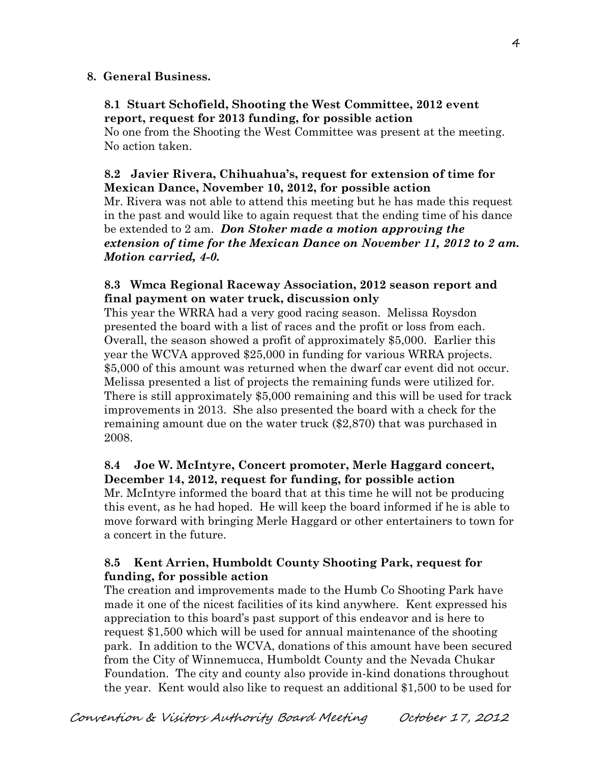# **8. General Business.**

## **8.1 Stuart Schofield, Shooting the West Committee, 2012 event report, request for 2013 funding, for possible action**

No one from the Shooting the West Committee was present at the meeting. No action taken.

# **8.2 Javier Rivera, Chihuahua's, request for extension of time for Mexican Dance, November 10, 2012, for possible action**

Mr. Rivera was not able to attend this meeting but he has made this request in the past and would like to again request that the ending time of his dance be extended to 2 am. *Don Stoker made a motion approving the extension of time for the Mexican Dance on November 11, 2012 to 2 am. Motion carried, 4-0.* 

# **8.3 Wmca Regional Raceway Association, 2012 season report and final payment on water truck, discussion only**

This year the WRRA had a very good racing season. Melissa Roysdon presented the board with a list of races and the profit or loss from each. Overall, the season showed a profit of approximately \$5,000. Earlier this year the WCVA approved \$25,000 in funding for various WRRA projects. \$5,000 of this amount was returned when the dwarf car event did not occur. Melissa presented a list of projects the remaining funds were utilized for. There is still approximately \$5,000 remaining and this will be used for track improvements in 2013. She also presented the board with a check for the remaining amount due on the water truck (\$2,870) that was purchased in 2008.

# **8.4 Joe W. McIntyre, Concert promoter, Merle Haggard concert, December 14, 2012, request for funding, for possible action**

Mr. McIntyre informed the board that at this time he will not be producing this event, as he had hoped. He will keep the board informed if he is able to move forward with bringing Merle Haggard or other entertainers to town for a concert in the future.

# **8.5 Kent Arrien, Humboldt County Shooting Park, request for funding, for possible action**

The creation and improvements made to the Humb Co Shooting Park have made it one of the nicest facilities of its kind anywhere. Kent expressed his appreciation to this board's past support of this endeavor and is here to request \$1,500 which will be used for annual maintenance of the shooting park. In addition to the WCVA, donations of this amount have been secured from the City of Winnemucca, Humboldt County and the Nevada Chukar Foundation. The city and county also provide in-kind donations throughout the year. Kent would also like to request an additional \$1,500 to be used for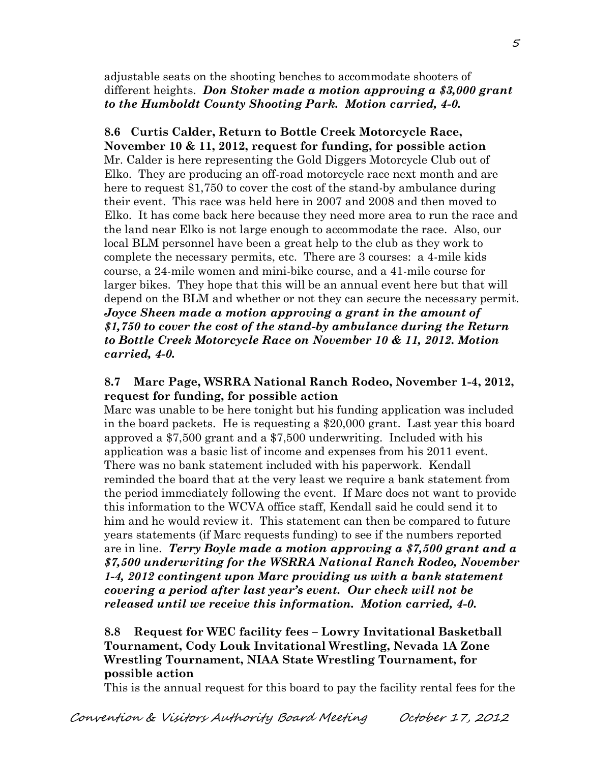adjustable seats on the shooting benches to accommodate shooters of different heights. *Don Stoker made a motion approving a \$3,000 grant to the Humboldt County Shooting Park. Motion carried, 4-0.*

**8.6 Curtis Calder, Return to Bottle Creek Motorcycle Race, November 10 & 11, 2012, request for funding, for possible action** Mr. Calder is here representing the Gold Diggers Motorcycle Club out of Elko. They are producing an off-road motorcycle race next month and are here to request \$1,750 to cover the cost of the stand-by ambulance during their event. This race was held here in 2007 and 2008 and then moved to Elko. It has come back here because they need more area to run the race and the land near Elko is not large enough to accommodate the race. Also, our local BLM personnel have been a great help to the club as they work to complete the necessary permits, etc. There are 3 courses: a 4-mile kids course, a 24-mile women and mini-bike course, and a 41-mile course for larger bikes. They hope that this will be an annual event here but that will depend on the BLM and whether or not they can secure the necessary permit. *Joyce Sheen made a motion approving a grant in the amount of \$1,750 to cover the cost of the stand-by ambulance during the Return to Bottle Creek Motorcycle Race on November 10 & 11, 2012. Motion carried, 4-0.*

# **8.7 Marc Page, WSRRA National Ranch Rodeo, November 1-4, 2012, request for funding, for possible action**

Marc was unable to be here tonight but his funding application was included in the board packets. He is requesting a \$20,000 grant. Last year this board approved a \$7,500 grant and a \$7,500 underwriting. Included with his application was a basic list of income and expenses from his 2011 event. There was no bank statement included with his paperwork. Kendall reminded the board that at the very least we require a bank statement from the period immediately following the event. If Marc does not want to provide this information to the WCVA office staff, Kendall said he could send it to him and he would review it. This statement can then be compared to future years statements (if Marc requests funding) to see if the numbers reported are in line. *Terry Boyle made a motion approving a \$7,500 grant and a \$7,500 underwriting for the WSRRA National Ranch Rodeo, November 1-4, 2012 contingent upon Marc providing us with a bank statement covering a period after last year's event. Our check will not be released until we receive this information. Motion carried, 4-0.* 

# **8.8 Request for WEC facility fees – Lowry Invitational Basketball Tournament, Cody Louk Invitational Wrestling, Nevada 1A Zone Wrestling Tournament, NIAA State Wrestling Tournament, for possible action**

This is the annual request for this board to pay the facility rental fees for the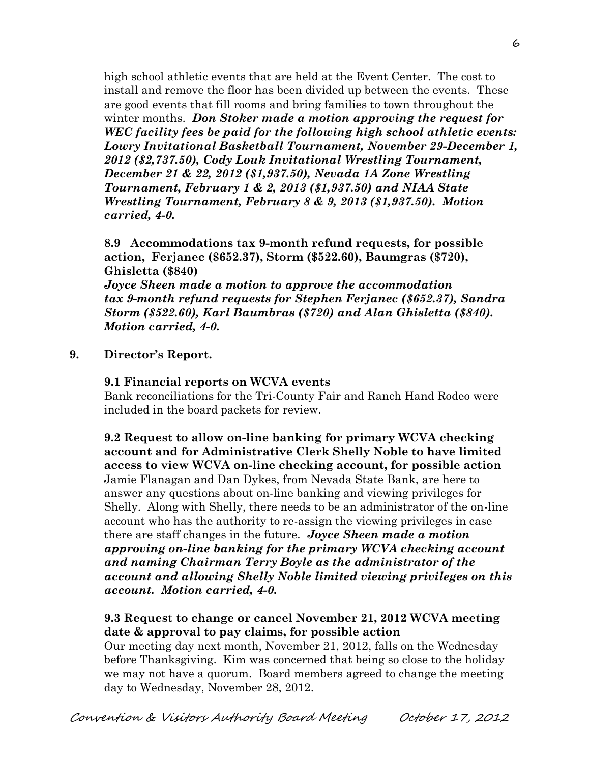high school athletic events that are held at the Event Center. The cost to install and remove the floor has been divided up between the events. These are good events that fill rooms and bring families to town throughout the winter months. *Don Stoker made a motion approving the request for WEC facility fees be paid for the following high school athletic events: Lowry Invitational Basketball Tournament, November 29-December 1, 2012 (\$2,737.50), Cody Louk Invitational Wrestling Tournament, December 21 & 22, 2012 (\$1,937.50), Nevada 1A Zone Wrestling Tournament, February 1 & 2, 2013 (\$1,937.50) and NIAA State Wrestling Tournament, February 8 & 9, 2013 (\$1,937.50). Motion carried, 4-0.* 

**8.9 Accommodations tax 9-month refund requests, for possible action, Ferjanec (\$652.37), Storm (\$522.60), Baumgras (\$720), Ghisletta (\$840)**

*Joyce Sheen made a motion to approve the accommodation tax 9-month refund requests for Stephen Ferjanec (\$652.37), Sandra Storm (\$522.60), Karl Baumbras (\$720) and Alan Ghisletta (\$840). Motion carried, 4-0.*

## **9. Director's Report.**

#### **9.1 Financial reports on WCVA events**

Bank reconciliations for the Tri-County Fair and Ranch Hand Rodeo were included in the board packets for review.

**9.2 Request to allow on-line banking for primary WCVA checking account and for Administrative Clerk Shelly Noble to have limited access to view WCVA on-line checking account, for possible action** Jamie Flanagan and Dan Dykes, from Nevada State Bank, are here to answer any questions about on-line banking and viewing privileges for Shelly. Along with Shelly, there needs to be an administrator of the on-line account who has the authority to re-assign the viewing privileges in case there are staff changes in the future. *Joyce Sheen made a motion approving on-line banking for the primary WCVA checking account and naming Chairman Terry Boyle as the administrator of the account and allowing Shelly Noble limited viewing privileges on this account. Motion carried, 4-0.* 

## **9.3 Request to change or cancel November 21, 2012 WCVA meeting date & approval to pay claims, for possible action**

Our meeting day next month, November 21, 2012, falls on the Wednesday before Thanksgiving. Kim was concerned that being so close to the holiday we may not have a quorum. Board members agreed to change the meeting day to Wednesday, November 28, 2012.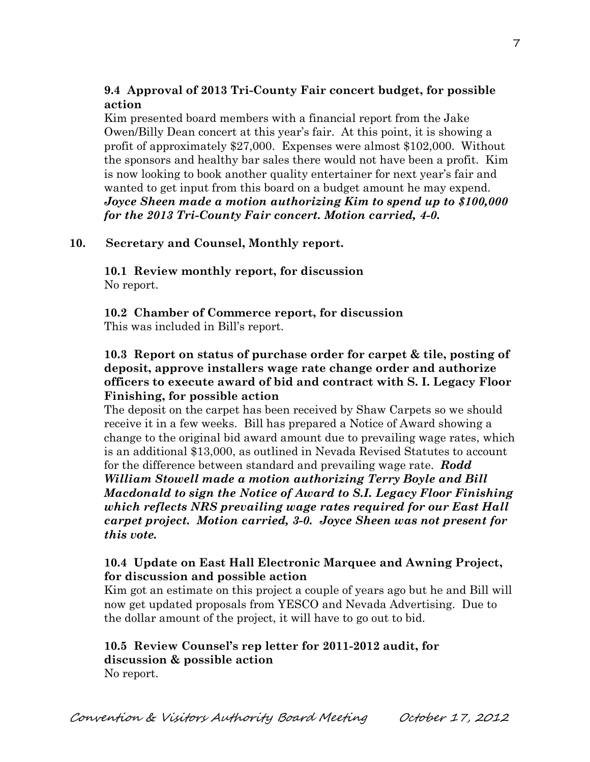# **9.4 Approval of 2013 Tri-County Fair concert budget, for possible action**

Kim presented board members with a financial report from the Jake Owen/Billy Dean concert at this year's fair. At this point, it is showing a profit of approximately \$27,000. Expenses were almost \$102,000. Without the sponsors and healthy bar sales there would not have been a profit. Kim is now looking to book another quality entertainer for next year's fair and wanted to get input from this board on a budget amount he may expend. *Joyce Sheen made a motion authorizing Kim to spend up to \$100,000 for the 2013 Tri-County Fair concert. Motion carried, 4-0.* 

# **10. Secretary and Counsel, Monthly report.**

**10.1 Review monthly report, for discussion** No report.

**10.2 Chamber of Commerce report, for discussion** This was included in Bill's report.

## **10.3 Report on status of purchase order for carpet & tile, posting of deposit, approve installers wage rate change order and authorize officers to execute award of bid and contract with S. I. Legacy Floor Finishing, for possible action**

The deposit on the carpet has been received by Shaw Carpets so we should receive it in a few weeks. Bill has prepared a Notice of Award showing a change to the original bid award amount due to prevailing wage rates, which is an additional \$13,000, as outlined in Nevada Revised Statutes to account for the difference between standard and prevailing wage rate. *Rodd William Stowell made a motion authorizing Terry Boyle and Bill Macdonald to sign the Notice of Award to S.I. Legacy Floor Finishing which reflects NRS prevailing wage rates required for our East Hall carpet project. Motion carried, 3-0. Joyce Sheen was not present for this vote.*

# **10.4 Update on East Hall Electronic Marquee and Awning Project, for discussion and possible action**

Kim got an estimate on this project a couple of years ago but he and Bill will now get updated proposals from YESCO and Nevada Advertising. Due to the dollar amount of the project, it will have to go out to bid.

# **10.5 Review Counsel's rep letter for 2011-2012 audit, for discussion & possible action**

No report.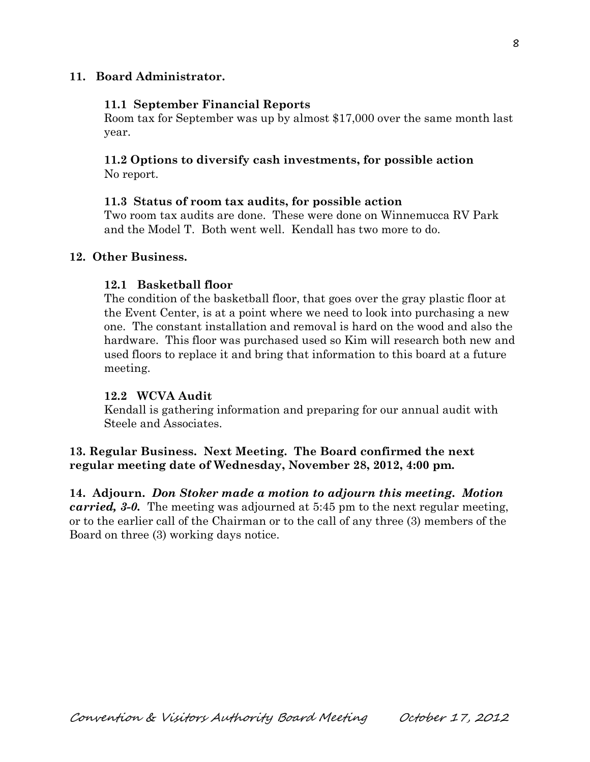## **11. Board Administrator.**

#### **11.1 September Financial Reports**

Room tax for September was up by almost \$17,000 over the same month last year.

#### **11.2 Options to diversify cash investments, for possible action** No report.

#### **11.3 Status of room tax audits, for possible action**

Two room tax audits are done. These were done on Winnemucca RV Park and the Model T. Both went well. Kendall has two more to do.

#### **12. Other Business.**

#### **12.1 Basketball floor**

The condition of the basketball floor, that goes over the gray plastic floor at the Event Center, is at a point where we need to look into purchasing a new one. The constant installation and removal is hard on the wood and also the hardware. This floor was purchased used so Kim will research both new and used floors to replace it and bring that information to this board at a future meeting.

#### **12.2 WCVA Audit**

Kendall is gathering information and preparing for our annual audit with Steele and Associates.

# **13. Regular Business. Next Meeting. The Board confirmed the next regular meeting date of Wednesday, November 28, 2012, 4:00 pm.**

**14. Adjourn.** *Don Stoker made a motion to adjourn this meeting. Motion carried, 3-0.* The meeting was adjourned at 5:45 pm to the next regular meeting, or to the earlier call of the Chairman or to the call of any three (3) members of the Board on three (3) working days notice.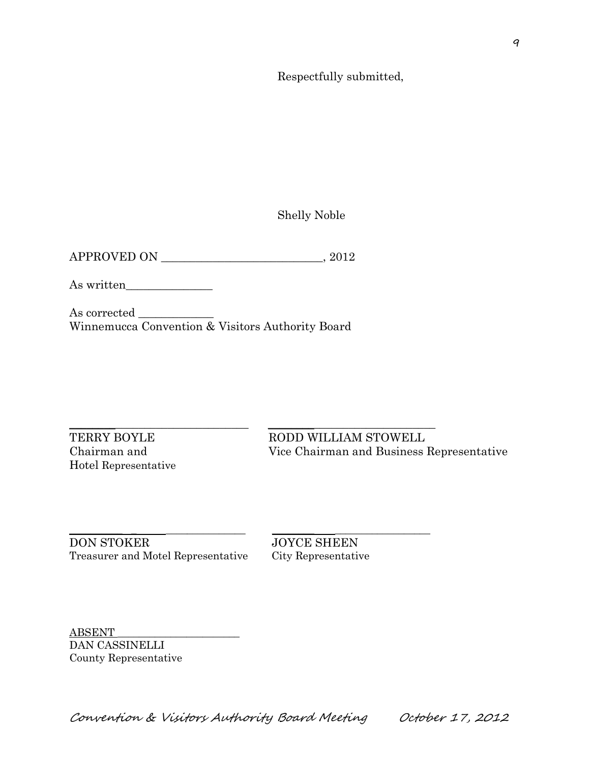Respectfully submitted,

Shelly Noble

As written\_\_\_\_\_\_\_\_\_\_\_\_\_\_\_

As corrected \_\_\_\_\_\_\_\_\_\_\_\_\_ Winnemucca Convention & Visitors Authority Board

Hotel Representative

 $\_$  ,  $\_$  ,  $\_$  ,  $\_$  ,  $\_$  ,  $\_$  ,  $\_$  ,  $\_$  ,  $\_$  ,  $\_$  ,  $\_$  ,  $\_$  ,  $\_$  ,  $\_$  ,  $\_$  ,  $\_$  ,  $\_$  ,  $\_$  ,  $\_$  ,  $\_$  ,  $\_$  ,  $\_$  ,  $\_$  ,  $\_$  ,  $\_$  ,  $\_$  ,  $\_$  ,  $\_$  ,  $\_$  ,  $\_$  ,  $\_$  ,  $\_$  ,  $\_$  ,  $\_$  ,  $\_$  ,  $\_$  ,  $\_$  , TERRY BOYLE RODD WILLIAM STOWELL Chairman and Vice Chairman and Business Representative

\_\_\_\_\_\_\_\_\_\_ \_ \_\_\_\_\_\_\_\_\_\_\_\_\_\_\_ \_\_\_\_\_\_\_\_ \_\_\_\_\_\_\_\_\_\_\_\_\_\_\_\_\_\_ DON STOKER JOYCE SHEEN Treasurer and Motel Representative City Representative

ABSENT \_\_\_\_\_\_\_\_\_\_\_\_\_\_\_\_\_\_\_\_\_\_\_ DAN CASSINELLI County Representative

Convention & Visitors Authority Board Meeting October 17, 2012